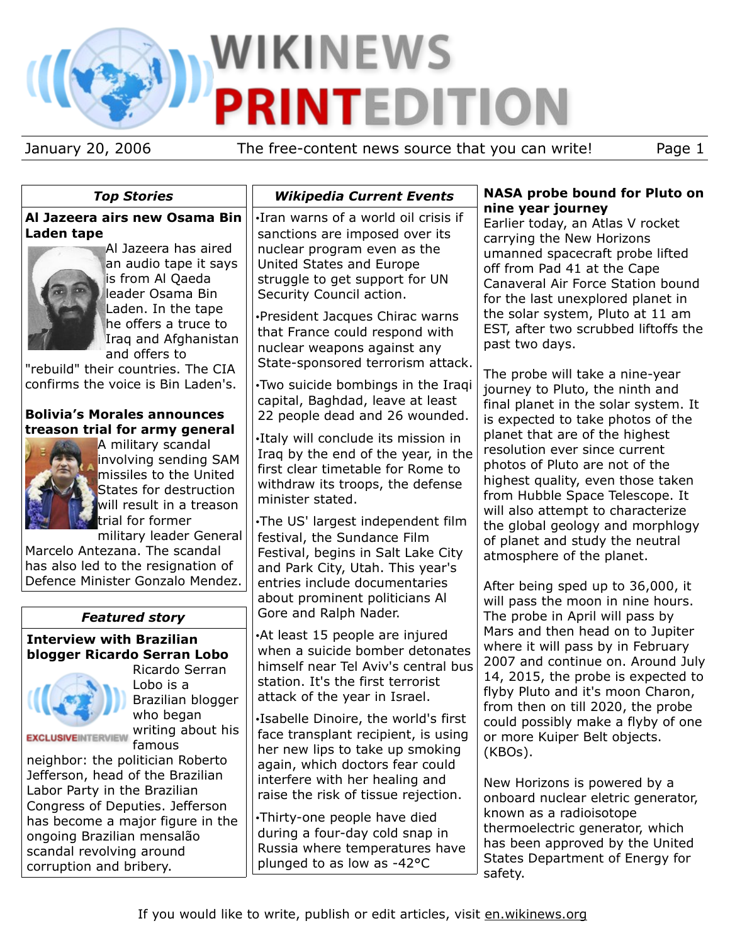# **WIKINEWS TEDITION** P

January 20, 2006 The free-content news source that you can write! Page 1

| <b>Top Stories</b>                                                                                                                                                                                                                                                                                                                                                                                                                                                                                                                                                                                                                                                       | <b>Wikipedia Current Events</b>                                                                                                                                                                                                                                                                                                                                                                                                                                                                                                                                                                                                                                                                                                                                                                                                                    | <b>NASA probe bound for Pluto on</b>                                                                                                                                                                                                                                                                                                                                                                                                                                                                                                                                                                                                                                                                                                                                                                                                                                            |
|--------------------------------------------------------------------------------------------------------------------------------------------------------------------------------------------------------------------------------------------------------------------------------------------------------------------------------------------------------------------------------------------------------------------------------------------------------------------------------------------------------------------------------------------------------------------------------------------------------------------------------------------------------------------------|----------------------------------------------------------------------------------------------------------------------------------------------------------------------------------------------------------------------------------------------------------------------------------------------------------------------------------------------------------------------------------------------------------------------------------------------------------------------------------------------------------------------------------------------------------------------------------------------------------------------------------------------------------------------------------------------------------------------------------------------------------------------------------------------------------------------------------------------------|---------------------------------------------------------------------------------------------------------------------------------------------------------------------------------------------------------------------------------------------------------------------------------------------------------------------------------------------------------------------------------------------------------------------------------------------------------------------------------------------------------------------------------------------------------------------------------------------------------------------------------------------------------------------------------------------------------------------------------------------------------------------------------------------------------------------------------------------------------------------------------|
| Al Jazeera airs new Osama Bin<br>Laden tape<br>Al Jazeera has aired<br>an audio tape it says<br>is from Al Qaeda<br>leader Osama Bin<br>Laden. In the tape<br>he offers a truce to<br>Iraq and Afghanistan<br>and offers to<br>"rebuild" their countries. The CIA<br>confirms the voice is Bin Laden's.<br><b>Bolivia's Morales announces</b><br>treason trial for army general<br>A military scandal<br>involving sending SAM<br>missiles to the United<br>States for destruction<br>will result in a treason<br>trial for former<br>military leader General<br>Marcelo Antezana. The scandal<br>has also led to the resignation of<br>Defence Minister Gonzalo Mendez. | . Iran warns of a world oil crisis if<br>sanctions are imposed over its<br>nuclear program even as the<br>United States and Europe<br>struggle to get support for UN<br>Security Council action.<br>·President Jacques Chirac warns<br>that France could respond with<br>nuclear weapons against any<br>State-sponsored terrorism attack.<br>. Two suicide bombings in the Iraqi<br>capital, Baghdad, leave at least<br>22 people dead and 26 wounded.<br>.Italy will conclude its mission in<br>Iraq by the end of the year, in the<br>first clear timetable for Rome to<br>withdraw its troops, the defense<br>minister stated.<br>.The US' largest independent film<br>festival, the Sundance Film<br>Festival, begins in Salt Lake City<br>and Park City, Utah. This year's<br>entries include documentaries<br>about prominent politicians Al | nine year journey<br>Earlier today, an Atlas V rocket<br>carrying the New Horizons<br>umanned spacecraft probe lifted<br>off from Pad 41 at the Cape<br>Canaveral Air Force Station bound<br>for the last unexplored planet in<br>the solar system, Pluto at 11 am<br>EST, after two scrubbed liftoffs the<br>past two days.<br>The probe will take a nine-year<br>journey to Pluto, the ninth and<br>final planet in the solar system. It<br>is expected to take photos of the<br>planet that are of the highest<br>resolution ever since current<br>photos of Pluto are not of the<br>highest quality, even those taken<br>from Hubble Space Telescope. It<br>will also attempt to characterize<br>the global geology and morphlogy<br>of planet and study the neutral<br>atmosphere of the planet.<br>After being sped up to 36,000, it<br>will pass the moon in nine hours. |
| <b>Featured story</b>                                                                                                                                                                                                                                                                                                                                                                                                                                                                                                                                                                                                                                                    | Gore and Ralph Nader.                                                                                                                                                                                                                                                                                                                                                                                                                                                                                                                                                                                                                                                                                                                                                                                                                              | The probe in April will pass by                                                                                                                                                                                                                                                                                                                                                                                                                                                                                                                                                                                                                                                                                                                                                                                                                                                 |
| <b>Interview with Brazilian</b><br>blogger Ricardo Serran Lobo<br>Ricardo Serran<br>Lobo is a<br>Brazilian blogger<br>who began<br>writing about his<br><b>EXCLUSIVEINTERVIEV</b><br>famous<br>neighbor: the politician Roberto                                                                                                                                                                                                                                                                                                                                                                                                                                          | •At least 15 people are injured<br>when a suicide bomber detonates<br>himself near Tel Aviv's central bus<br>station. It's the first terrorist<br>attack of the year in Israel.<br>·Isabelle Dinoire, the world's first<br>face transplant recipient, is using<br>her new lips to take up smoking<br>again, which doctors fear could                                                                                                                                                                                                                                                                                                                                                                                                                                                                                                               | Mars and then head on to Jupiter<br>where it will pass by in February<br>2007 and continue on. Around July<br>14, 2015, the probe is expected to<br>flyby Pluto and it's moon Charon,<br>from then on till 2020, the probe<br>could possibly make a flyby of one<br>or more Kuiper Belt objects.<br>(KBOs).                                                                                                                                                                                                                                                                                                                                                                                                                                                                                                                                                                     |
| Jefferson, head of the Brazilian<br>Labor Party in the Brazilian<br>Congress of Deputies. Jefferson<br>has become a major figure in the<br>ongoing Brazilian mensalão<br>scandal revolving around<br>corruption and bribery.                                                                                                                                                                                                                                                                                                                                                                                                                                             | interfere with her healing and<br>raise the risk of tissue rejection.<br>•Thirty-one people have died<br>during a four-day cold snap in<br>Russia where temperatures have<br>plunged to as low as -42°C                                                                                                                                                                                                                                                                                                                                                                                                                                                                                                                                                                                                                                            | New Horizons is powered by a<br>onboard nuclear eletric generator,<br>known as a radioisotope<br>thermoelectric generator, which<br>has been approved by the United<br>States Department of Energy for<br>safety.                                                                                                                                                                                                                                                                                                                                                                                                                                                                                                                                                                                                                                                               |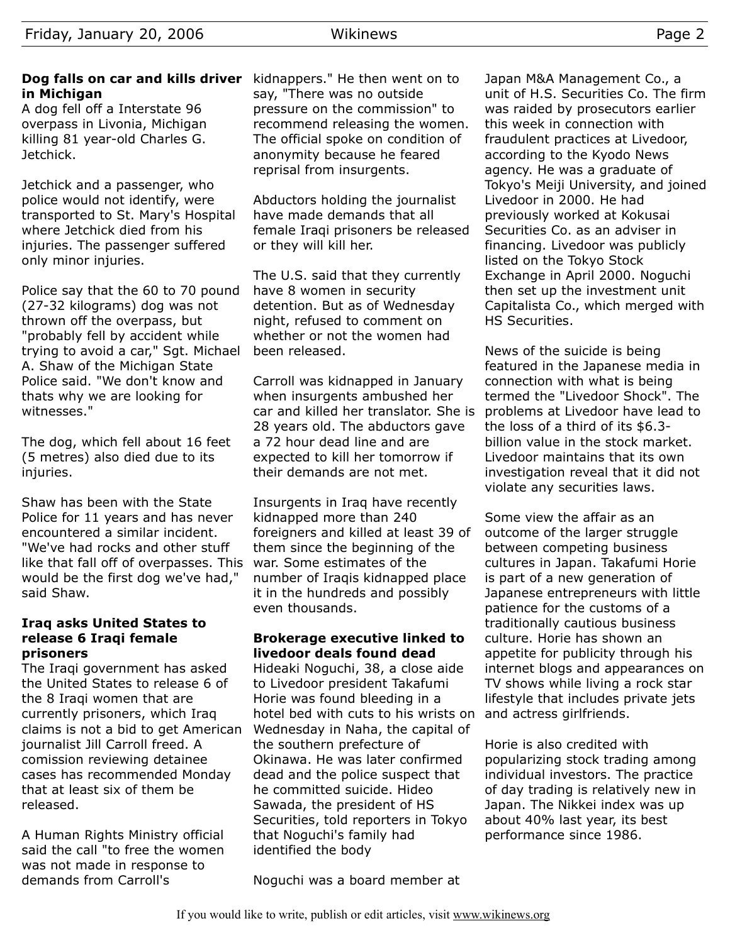A dog fell off a Interstate 96 overpass in Livonia, Michigan killing 81 year-old Charles G. Jetchick.

Jetchick and a passenger, who police would not identify, were transported to St. Mary's Hospital where Jetchick died from his injuries. The passenger suffered only minor injuries.

Police say that the 60 to 70 pound (27-32 kilograms) dog was not thrown off the overpass, but "probably fell by accident while trying to avoid a car," Sgt. Michael A. Shaw of the Michigan State Police said. "We don't know and thats why we are looking for witnesses."

The dog, which fell about 16 feet (5 metres) also died due to its injuries.

Shaw has been with the State Police for 11 years and has never encountered a similar incident. "We've had rocks and other stuff like that fall off of overpasses. This would be the first dog we've had," said Shaw.

#### **Iraq asks United States to release 6 Iraqi female prisoners**

The Iraqi government has asked the United States to release 6 of the 8 Iraqi women that are currently prisoners, which Iraq claims is not a bid to get American journalist Jill Carroll freed. A comission reviewing detainee cases has recommended Monday that at least six of them be released.

A Human Rights Ministry official said the call "to free the women was not made in response to demands from Carroll's

say, "There was no outside pressure on the commission" to recommend releasing the women. The official spoke on condition of anonymity because he feared reprisal from insurgents.

Abductors holding the journalist have made demands that all female Iraqi prisoners be released or they will kill her.

The U.S. said that they currently have 8 women in security detention. But as of Wednesday night, refused to comment on whether or not the women had been released.

Carroll was kidnapped in January when insurgents ambushed her car and killed her translator. She is 28 years old. The abductors gave a 72 hour dead line and are expected to kill her tomorrow if their demands are not met.

Insurgents in Iraq have recently kidnapped more than 240 foreigners and killed at least 39 of them since the beginning of the war. Some estimates of the number of Iraqis kidnapped place it in the hundreds and possibly even thousands.

#### **Brokerage executive linked to livedoor deals found dead**

Hideaki Noguchi, 38, a close aide to Livedoor president Takafumi Horie was found bleeding in a hotel bed with cuts to his wrists on Wednesday in Naha, the capital of the southern prefecture of Okinawa. He was later confirmed dead and the police suspect that he committed suicide. Hideo Sawada, the president of HS Securities, told reporters in Tokyo that Noguchi's family had identified the body

Japan M&A Management Co., a unit of H.S. Securities Co. The firm was raided by prosecutors earlier this week in connection with fraudulent practices at Livedoor, according to the Kyodo News agency. He was a graduate of Tokyo's Meiji University, and joined Livedoor in 2000. He had previously worked at Kokusai Securities Co. as an adviser in financing. Livedoor was publicly listed on the Tokyo Stock Exchange in April 2000. Noguchi then set up the investment unit Capitalista Co., which merged with HS Securities.

News of the suicide is being featured in the Japanese media in connection with what is being termed the "Livedoor Shock". The problems at Livedoor have lead to the loss of a third of its \$6.3 billion value in the stock market. Livedoor maintains that its own investigation reveal that it did not violate any securities laws.

Some view the affair as an outcome of the larger struggle between competing business cultures in Japan. Takafumi Horie is part of a new generation of Japanese entrepreneurs with little patience for the customs of a traditionally cautious business culture. Horie has shown an appetite for publicity through his internet blogs and appearances on TV shows while living a rock star lifestyle that includes private jets and actress girlfriends.

Horie is also credited with popularizing stock trading among individual investors. The practice of day trading is relatively new in Japan. The Nikkei index was up about 40% last year, its best performance since 1986.

Noguchi was a board member at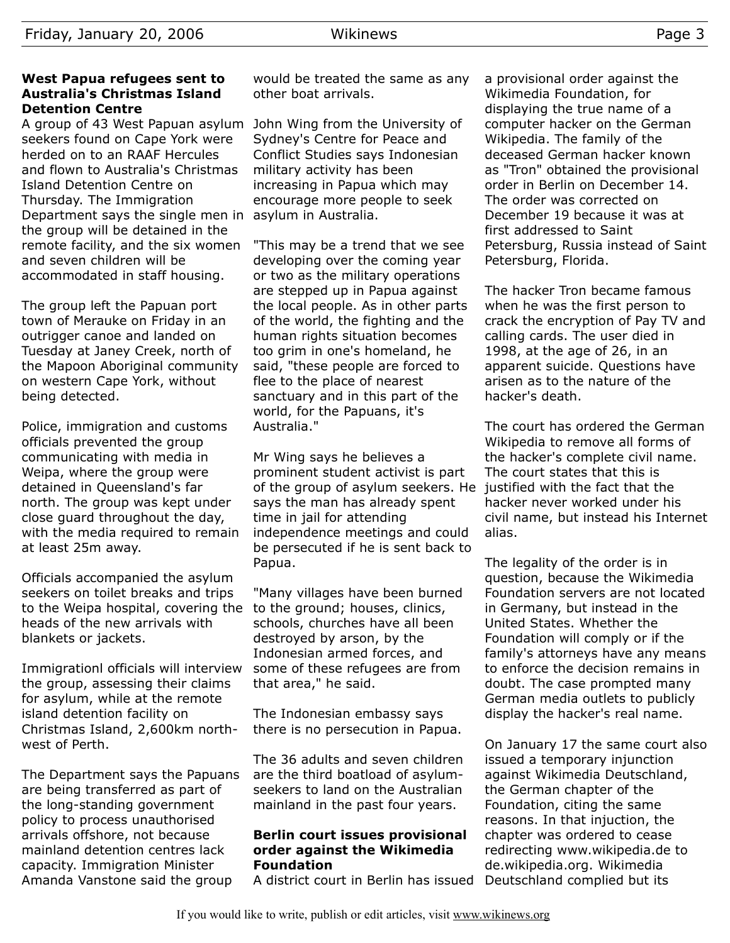#### **West Papua refugees sent to Australia's Christmas Island Detention Centre**

A group of 43 West Papuan asylum John Wing from the University of seekers found on Cape York were herded on to an RAAF Hercules and flown to Australia's Christmas Island Detention Centre on Thursday. The Immigration Department says the single men in asylum in Australia. the group will be detained in the remote facility, and the six women and seven children will be accommodated in staff housing.

The group left the Papuan port town of Merauke on Friday in an outrigger canoe and landed on Tuesday at Janey Creek, north of the Mapoon Aboriginal community on western Cape York, without being detected.

Police, immigration and customs officials prevented the group communicating with media in Weipa, where the group were detained in Queensland's far north. The group was kept under close guard throughout the day, with the media required to remain at least 25m away.

Officials accompanied the asylum seekers on toilet breaks and trips to the Weipa hospital, covering the heads of the new arrivals with blankets or jackets.

Immigrationl officials will interview the group, assessing their claims for asylum, while at the remote island detention facility on Christmas Island, 2,600km northwest of Perth.

The Department says the Papuans are being transferred as part of the long-standing government policy to process unauthorised arrivals offshore, not because mainland detention centres lack capacity. Immigration Minister Amanda Vanstone said the group

would be treated the same as any other boat arrivals.

Sydney's Centre for Peace and Conflict Studies says Indonesian military activity has been increasing in Papua which may encourage more people to seek

"This may be a trend that we see developing over the coming year or two as the military operations are stepped up in Papua against the local people. As in other parts of the world, the fighting and the human rights situation becomes too grim in one's homeland, he said, "these people are forced to flee to the place of nearest sanctuary and in this part of the world, for the Papuans, it's Australia."

Mr Wing says he believes a prominent student activist is part of the group of asylum seekers. He justified with the fact that the says the man has already spent time in jail for attending independence meetings and could be persecuted if he is sent back to Papua.

"Many villages have been burned to the ground; houses, clinics, schools, churches have all been destroyed by arson, by the Indonesian armed forces, and some of these refugees are from that area," he said.

The Indonesian embassy says there is no persecution in Papua.

The 36 adults and seven children are the third boatload of asylumseekers to land on the Australian mainland in the past four years.

#### **Berlin court issues provisional order against the Wikimedia Foundation**

A district court in Berlin has issued Deutschland complied but its

a provisional order against the Wikimedia Foundation, for displaying the true name of a computer hacker on the German Wikipedia. The family of the deceased German hacker known as "Tron" obtained the provisional order in Berlin on December 14. The order was corrected on December 19 because it was at first addressed to Saint Petersburg, Russia instead of Saint Petersburg, Florida.

The hacker Tron became famous when he was the first person to crack the encryption of Pay TV and calling cards. The user died in 1998, at the age of 26, in an apparent suicide. Questions have arisen as to the nature of the hacker's death.

The court has ordered the German Wikipedia to remove all forms of the hacker's complete civil name. The court states that this is hacker never worked under his civil name, but instead his Internet alias.

The legality of the order is in question, because the Wikimedia Foundation servers are not located in Germany, but instead in the United States. Whether the Foundation will comply or if the family's attorneys have any means to enforce the decision remains in doubt. The case prompted many German media outlets to publicly display the hacker's real name.

On January 17 the same court also issued a temporary injunction against Wikimedia Deutschland, the German chapter of the Foundation, citing the same reasons. In that injuction, the chapter was ordered to cease redirecting www.wikipedia.de to de.wikipedia.org. Wikimedia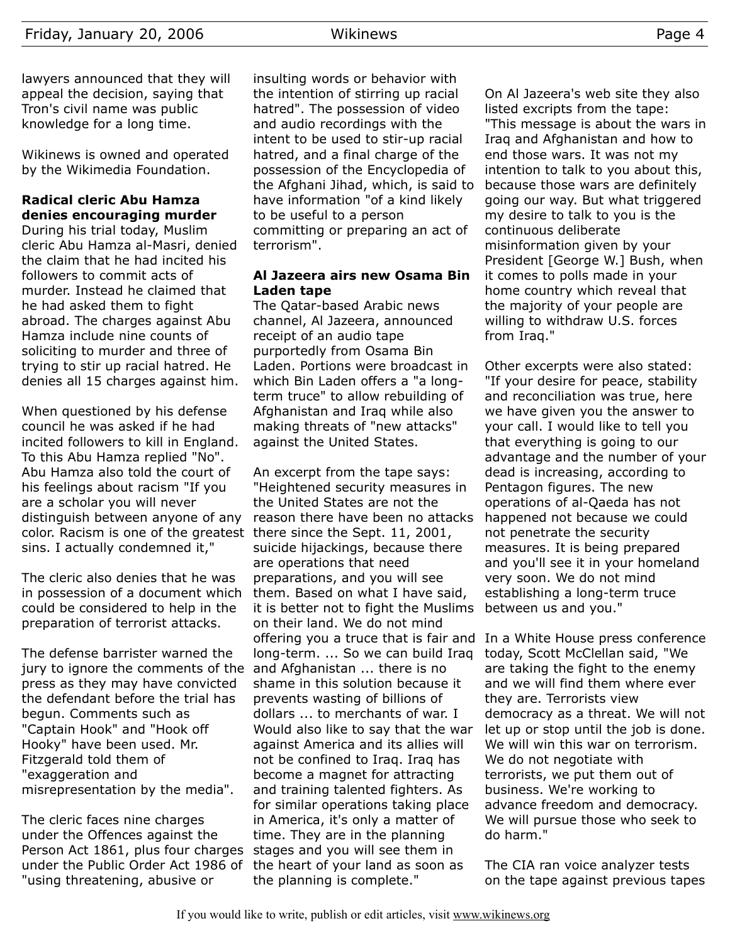lawyers announced that they will appeal the decision, saying that Tron's civil name was public knowledge for a long time.

Wikinews is owned and operated by the Wikimedia Foundation.

# **Radical cleric Abu Hamza denies encouraging murder**

During his trial today, Muslim cleric Abu Hamza al-Masri, denied the claim that he had incited his followers to commit acts of murder. Instead he claimed that he had asked them to fight abroad. The charges against Abu Hamza include nine counts of soliciting to murder and three of trying to stir up racial hatred. He denies all 15 charges against him.

When questioned by his defense council he was asked if he had incited followers to kill in England. To this Abu Hamza replied "No". Abu Hamza also told the court of his feelings about racism "If you are a scholar you will never distinguish between anyone of any color. Racism is one of the greatest there since the Sept. 11, 2001, sins. I actually condemned it,"

The cleric also denies that he was in possession of a document which could be considered to help in the preparation of terrorist attacks.

The defense barrister warned the jury to ignore the comments of the and Afghanistan ... there is no press as they may have convicted the defendant before the trial has begun. Comments such as "Captain Hook" and "Hook off Hooky" have been used. Mr. Fitzgerald told them of "exaggeration and misrepresentation by the media".

The cleric faces nine charges under the Offences against the Person Act 1861, plus four charges under the Public Order Act 1986 of "using threatening, abusive or

insulting words or behavior with the intention of stirring up racial hatred". The possession of video and audio recordings with the intent to be used to stir-up racial hatred, and a final charge of the possession of the Encyclopedia of the Afghani Jihad, which, is said to have information "of a kind likely to be useful to a person committing or preparing an act of terrorism".

#### **Al Jazeera airs new Osama Bin Laden tape**

The Qatar-based Arabic news channel, Al Jazeera, announced receipt of an audio tape purportedly from Osama Bin Laden. Portions were broadcast in which Bin Laden offers a "a longterm truce" to allow rebuilding of Afghanistan and Iraq while also making threats of "new attacks" against the United States.

An excerpt from the tape says: "Heightened security measures in the United States are not the reason there have been no attacks suicide hijackings, because there are operations that need preparations, and you will see them. Based on what I have said, it is better not to fight the Muslims on their land. We do not mind offering you a truce that is fair and In a White House press conference long-term. ... So we can build Iraq shame in this solution because it prevents wasting of billions of dollars ... to merchants of war. I Would also like to say that the war against America and its allies will not be confined to Iraq. Iraq has become a magnet for attracting and training talented fighters. As for similar operations taking place in America, it's only a matter of time. They are in the planning stages and you will see them in the heart of your land as soon as the planning is complete."

On Al Jazeera's web site they also listed excripts from the tape: "This message is about the wars in Iraq and Afghanistan and how to end those wars. It was not my intention to talk to you about this, because those wars are definitely going our way. But what triggered my desire to talk to you is the continuous deliberate misinformation given by your President [George W.] Bush, when it comes to polls made in your home country which reveal that the majority of your people are willing to withdraw U.S. forces from Iraq."

Other excerpts were also stated: "If your desire for peace, stability and reconciliation was true, here we have given you the answer to your call. I would like to tell you that everything is going to our advantage and the number of your dead is increasing, according to Pentagon figures. The new operations of al-Qaeda has not happened not because we could not penetrate the security measures. It is being prepared and you'll see it in your homeland very soon. We do not mind establishing a long-term truce between us and you."

today, Scott McClellan said, "We are taking the fight to the enemy and we will find them where ever they are. Terrorists view democracy as a threat. We will not let up or stop until the job is done. We will win this war on terrorism. We do not negotiate with terrorists, we put them out of business. We're working to advance freedom and democracy. We will pursue those who seek to do harm."

The CIA ran voice analyzer tests on the tape against previous tapes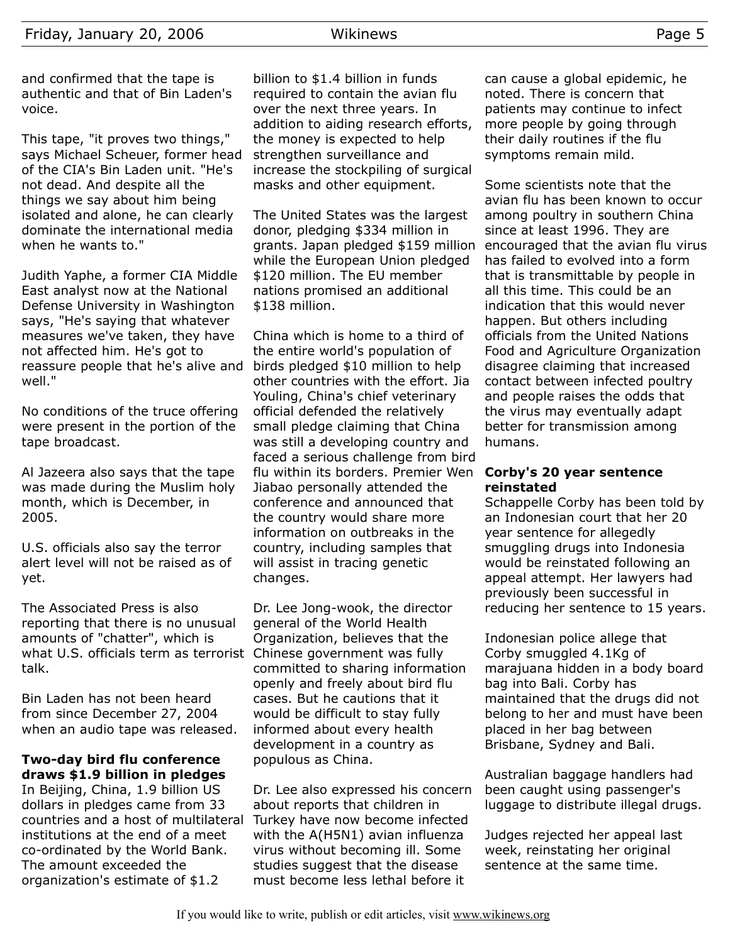and confirmed that the tape is authentic and that of Bin Laden's voice.

This tape, "it proves two things," says Michael Scheuer, former head of the CIA's Bin Laden unit. "He's not dead. And despite all the things we say about him being isolated and alone, he can clearly dominate the international media when he wants to."

Judith Yaphe, a former CIA Middle East analyst now at the National Defense University in Washington says, "He's saying that whatever measures we've taken, they have not affected him. He's got to reassure people that he's alive and well."

No conditions of the truce offering were present in the portion of the tape broadcast.

Al Jazeera also says that the tape was made during the Muslim holy month, which is December, in 2005.

U.S. officials also say the terror alert level will not be raised as of yet.

The Associated Press is also reporting that there is no unusual amounts of "chatter", which is what U.S. officials term as terrorist Chinese government was fully talk.

Bin Laden has not been heard from since December 27, 2004 when an audio tape was released.

# **Two-day bird flu conference draws \$1.9 billion in pledges**

In Beijing, China, 1.9 billion US dollars in pledges came from 33 countries and a host of multilateral institutions at the end of a meet co-ordinated by the World Bank. The amount exceeded the organization's estimate of \$1.2

billion to \$1.4 billion in funds required to contain the avian flu over the next three years. In addition to aiding research efforts, the money is expected to help strengthen surveillance and increase the stockpiling of surgical masks and other equipment.

The United States was the largest donor, pledging \$334 million in grants. Japan pledged \$159 million while the European Union pledged \$120 million. The EU member nations promised an additional \$138 million.

China which is home to a third of the entire world's population of birds pledged \$10 million to help other countries with the effort. Jia Youling, China's chief veterinary official defended the relatively small pledge claiming that China was still a developing country and faced a serious challenge from bird flu within its borders. Premier Wen Jiabao personally attended the conference and announced that the country would share more information on outbreaks in the country, including samples that will assist in tracing genetic changes.

Dr. Lee Jong-wook, the director general of the World Health Organization, believes that the committed to sharing information openly and freely about bird flu cases. But he cautions that it would be difficult to stay fully informed about every health development in a country as populous as China.

Dr. Lee also expressed his concern about reports that children in Turkey have now become infected with the A(H5N1) avian influenza virus without becoming ill. Some studies suggest that the disease must become less lethal before it

can cause a global epidemic, he noted. There is concern that patients may continue to infect more people by going through their daily routines if the flu symptoms remain mild.

Some scientists note that the avian flu has been known to occur among poultry in southern China since at least 1996. They are encouraged that the avian flu virus has failed to evolved into a form that is transmittable by people in all this time. This could be an indication that this would never happen. But others including officials from the United Nations Food and Agriculture Organization disagree claiming that increased contact between infected poultry and people raises the odds that the virus may eventually adapt better for transmission among humans.

#### **Corby's 20 year sentence reinstated**

Schappelle Corby has been told by an Indonesian court that her 20 year sentence for allegedly smuggling drugs into Indonesia would be reinstated following an appeal attempt. Her lawyers had previously been successful in reducing her sentence to 15 years.

Indonesian police allege that Corby smuggled 4.1Kg of marajuana hidden in a body board bag into Bali. Corby has maintained that the drugs did not belong to her and must have been placed in her bag between Brisbane, Sydney and Bali.

Australian baggage handlers had been caught using passenger's luggage to distribute illegal drugs.

Judges rejected her appeal last week, reinstating her original sentence at the same time.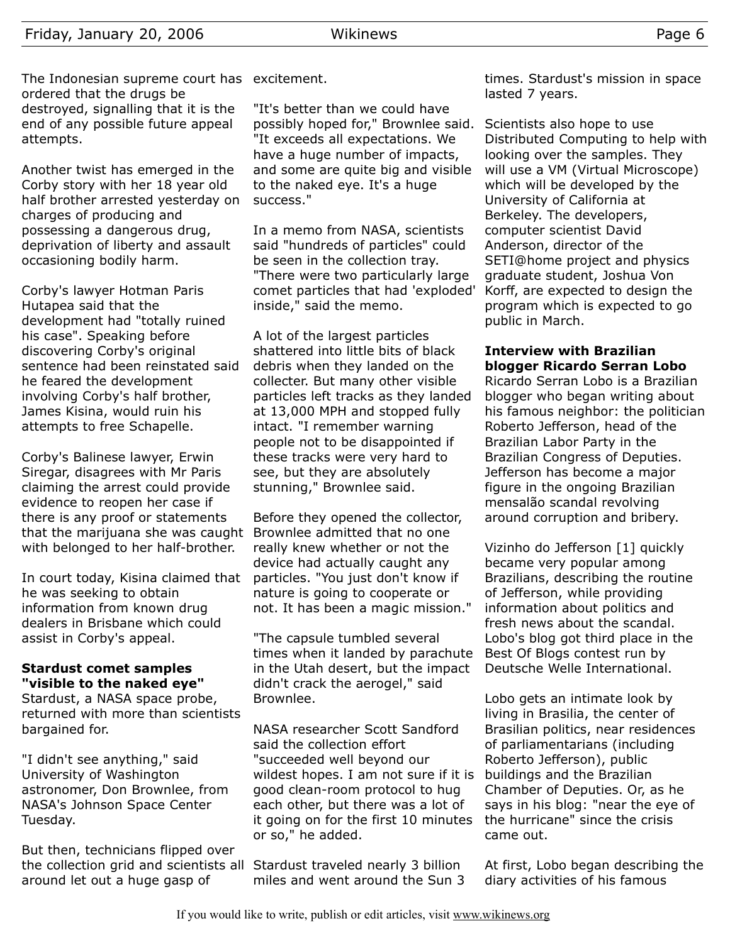The Indonesian supreme court has excitement. ordered that the drugs be destroyed, signalling that it is the end of any possible future appeal attempts.

Another twist has emerged in the Corby story with her 18 year old half brother arrested yesterday on charges of producing and possessing a dangerous drug, deprivation of liberty and assault occasioning bodily harm.

Corby's lawyer Hotman Paris Hutapea said that the development had "totally ruined his case". Speaking before discovering Corby's original sentence had been reinstated said he feared the development involving Corby's half brother, James Kisina, would ruin his attempts to free Schapelle.

Corby's Balinese lawyer, Erwin Siregar, disagrees with Mr Paris claiming the arrest could provide evidence to reopen her case if there is any proof or statements that the marijuana she was caught Brownlee admitted that no one with belonged to her half-brother.

In court today, Kisina claimed that he was seeking to obtain information from known drug dealers in Brisbane which could assist in Corby's appeal.

#### **Stardust comet samples "visible to the naked eye"**

Stardust, a NASA space probe, returned with more than scientists bargained for.

"I didn't see anything," said University of Washington astronomer, Don Brownlee, from NASA's Johnson Space Center Tuesday.

But then, technicians flipped over the collection grid and scientists all Stardust traveled nearly 3 billion around let out a huge gasp of

"It's better than we could have possibly hoped for," Brownlee said. "It exceeds all expectations. We have a huge number of impacts, and some are quite big and visible to the naked eye. It's a huge success."

In a memo from NASA, scientists said "hundreds of particles" could be seen in the collection tray. "There were two particularly large comet particles that had 'exploded' inside," said the memo.

A lot of the largest particles shattered into little bits of black debris when they landed on the collecter. But many other visible particles left tracks as they landed at 13,000 MPH and stopped fully intact. "I remember warning people not to be disappointed if these tracks were very hard to see, but they are absolutely stunning," Brownlee said.

Before they opened the collector, really knew whether or not the device had actually caught any particles. "You just don't know if nature is going to cooperate or not. It has been a magic mission."

"The capsule tumbled several times when it landed by parachute in the Utah desert, but the impact didn't crack the aerogel," said Brownlee.

NASA researcher Scott Sandford said the collection effort "succeeded well beyond our wildest hopes. I am not sure if it is good clean-room protocol to hug each other, but there was a lot of it going on for the first 10 minutes or so," he added.

miles and went around the Sun 3

times. Stardust's mission in space lasted 7 years.

Scientists also hope to use Distributed Computing to help with looking over the samples. They will use a VM (Virtual Microscope) which will be developed by the University of California at Berkeley. The developers, computer scientist David Anderson, director of the SETI@home project and physics graduate student, Joshua Von Korff, are expected to design the program which is expected to go public in March.

#### **Interview with Brazilian blogger Ricardo Serran Lobo**

Ricardo Serran Lobo is a Brazilian blogger who began writing about his famous neighbor: the politician Roberto Jefferson, head of the Brazilian Labor Party in the Brazilian Congress of Deputies. Jefferson has become a major figure in the ongoing Brazilian mensalão scandal revolving around corruption and bribery.

Vizinho do Jefferson [1] quickly became very popular among Brazilians, describing the routine of Jefferson, while providing information about politics and fresh news about the scandal. Lobo's blog got third place in the Best Of Blogs contest run by Deutsche Welle International.

Lobo gets an intimate look by living in Brasilia, the center of Brasilian politics, near residences of parliamentarians (including Roberto Jefferson), public buildings and the Brazilian Chamber of Deputies. Or, as he says in his blog: "near the eye of the hurricane" since the crisis came out.

At first, Lobo began describing the diary activities of his famous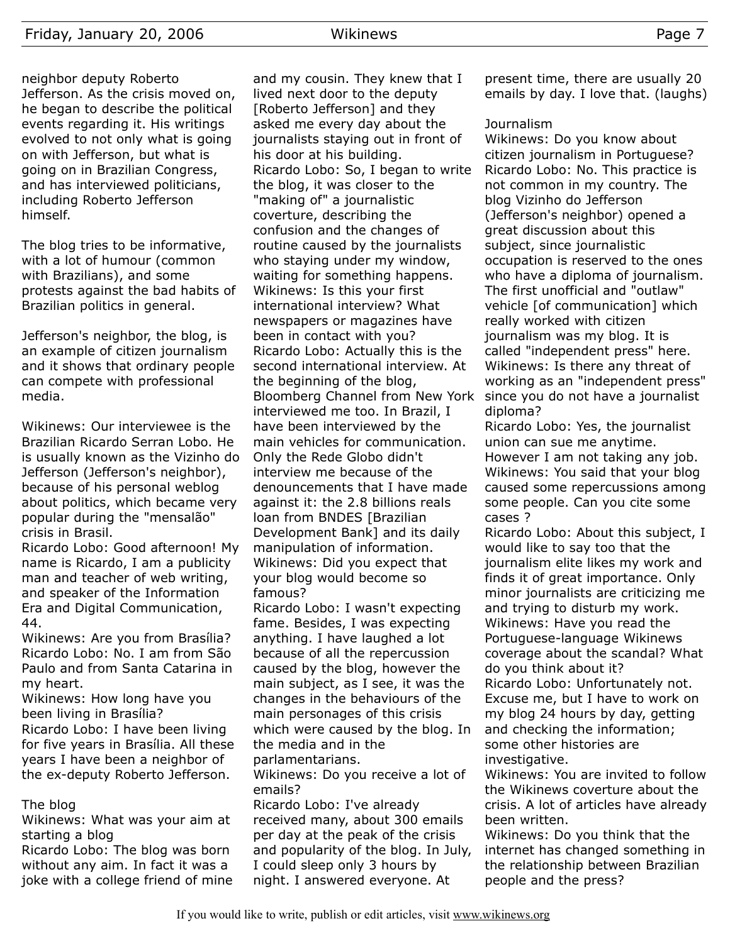neighbor deputy Roberto Jefferson. As the crisis moved on, he began to describe the political events regarding it. His writings evolved to not only what is going on with Jefferson, but what is going on in Brazilian Congress, and has interviewed politicians, including Roberto Jefferson himself.

The blog tries to be informative, with a lot of humour (common with Brazilians), and some protests against the bad habits of Brazilian politics in general.

Jefferson's neighbor, the blog, is an example of citizen journalism and it shows that ordinary people can compete with professional media.

Wikinews: Our interviewee is the Brazilian Ricardo Serran Lobo. He is usually known as the Vizinho do Jefferson (Jefferson's neighbor), because of his personal weblog about politics, which became very popular during the "mensalão" crisis in Brasil.

Ricardo Lobo: Good afternoon! My name is Ricardo, I am a publicity man and teacher of web writing, and speaker of the Information Era and Digital Communication, 44.

Wikinews: Are you from Brasília? Ricardo Lobo: No. I am from São Paulo and from Santa Catarina in my heart.

Wikinews: How long have you been living in Brasília? Ricardo Lobo: I have been living for five years in Brasília. All these years I have been a neighbor of the ex-deputy Roberto Jefferson.

#### The blog

Wikinews: What was your aim at starting a blog

Ricardo Lobo: The blog was born without any aim. In fact it was a joke with a college friend of mine and my cousin. They knew that I lived next door to the deputy [Roberto Jefferson] and they asked me every day about the journalists staying out in front of his door at his building. Ricardo Lobo: So, I began to write the blog, it was closer to the "making of" a journalistic coverture, describing the confusion and the changes of routine caused by the journalists who staying under my window, waiting for something happens. Wikinews: Is this your first international interview? What newspapers or magazines have been in contact with you? Ricardo Lobo: Actually this is the second international interview. At the beginning of the blog, Bloomberg Channel from New York interviewed me too. In Brazil, I have been interviewed by the main vehicles for communication. Only the Rede Globo didn't interview me because of the denouncements that I have made against it: the 2.8 billions reals loan from BNDES [Brazilian Development Bank] and its daily manipulation of information. Wikinews: Did you expect that your blog would become so famous?

Ricardo Lobo: I wasn't expecting fame. Besides, I was expecting anything. I have laughed a lot because of all the repercussion caused by the blog, however the main subject, as I see, it was the changes in the behaviours of the main personages of this crisis which were caused by the blog. In the media and in the parlamentarians.

Wikinews: Do you receive a lot of emails?

Ricardo Lobo: I've already received many, about 300 emails per day at the peak of the crisis and popularity of the blog. In July, I could sleep only 3 hours by night. I answered everyone. At

present time, there are usually 20 emails by day. I love that. (laughs)

#### **Journalism**

Wikinews: Do you know about citizen journalism in Portuguese? Ricardo Lobo: No. This practice is not common in my country. The blog Vizinho do Jefferson (Jefferson's neighbor) opened a great discussion about this subject, since journalistic occupation is reserved to the ones who have a diploma of journalism. The first unofficial and "outlaw" vehicle [of communication] which really worked with citizen journalism was my blog. It is called "independent press" here. Wikinews: Is there any threat of working as an "independent press" since you do not have a journalist diploma?

Ricardo Lobo: Yes, the journalist union can sue me anytime. However I am not taking any job. Wikinews: You said that your blog caused some repercussions among some people. Can you cite some cases ?

Ricardo Lobo: About this subject, I would like to say too that the journalism elite likes my work and finds it of great importance. Only minor journalists are criticizing me and trying to disturb my work. Wikinews: Have you read the Portuguese-language Wikinews coverage about the scandal? What do you think about it? Ricardo Lobo: Unfortunately not.

Excuse me, but I have to work on my blog 24 hours by day, getting and checking the information; some other histories are investigative.

Wikinews: You are invited to follow the Wikinews coverture about the crisis. A lot of articles have already been written.

Wikinews: Do you think that the internet has changed something in the relationship between Brazilian people and the press?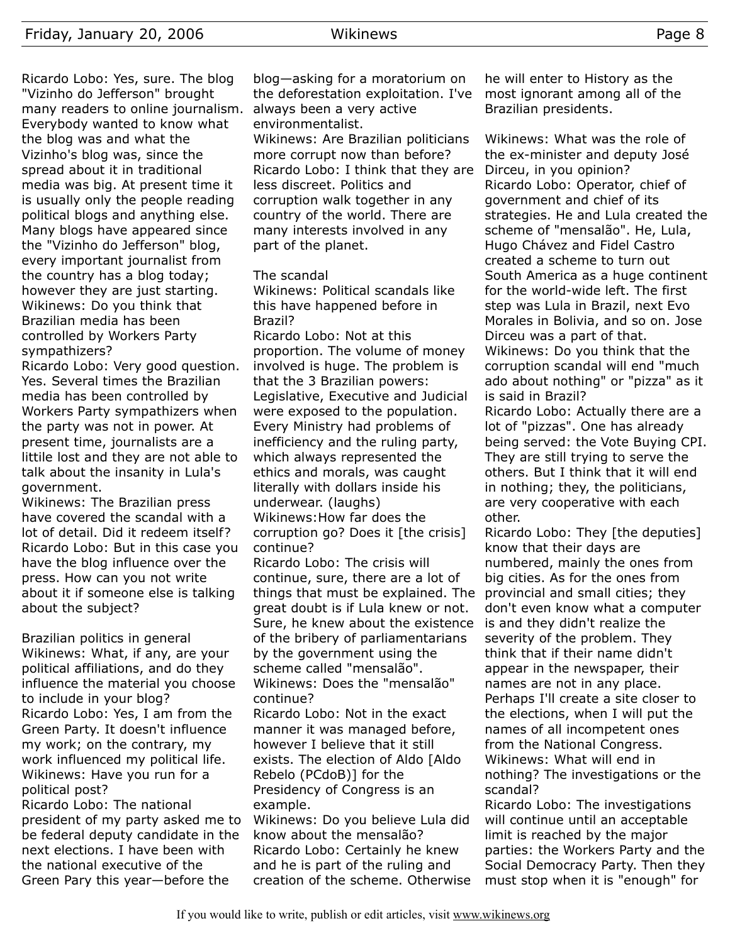Ricardo Lobo: Yes, sure. The blog "Vizinho do Jefferson" brought many readers to online journalism. Everybody wanted to know what the blog was and what the Vizinho's blog was, since the spread about it in traditional media was big. At present time it is usually only the people reading political blogs and anything else. Many blogs have appeared since the "Vizinho do Jefferson" blog, every important journalist from the country has a blog today; however they are just starting. Wikinews: Do you think that Brazilian media has been controlled by Workers Party sympathizers?

Ricardo Lobo: Very good question. Yes. Several times the Brazilian media has been controlled by Workers Party sympathizers when the party was not in power. At present time, journalists are a littile lost and they are not able to talk about the insanity in Lula's government.

Wikinews: The Brazilian press have covered the scandal with a lot of detail. Did it redeem itself? Ricardo Lobo: But in this case you have the blog influence over the press. How can you not write about it if someone else is talking about the subject?

Brazilian politics in general Wikinews: What, if any, are your political affiliations, and do they influence the material you choose to include in your blog? Ricardo Lobo: Yes, I am from the Green Party. It doesn't influence my work; on the contrary, my work influenced my political life. Wikinews: Have you run for a political post?

Ricardo Lobo: The national president of my party asked me to be federal deputy candidate in the next elections. I have been with the national executive of the Green Pary this year—before the

blog—asking for a moratorium on the deforestation exploitation. I've always been a very active environmentalist.

Wikinews: Are Brazilian politicians more corrupt now than before? Ricardo Lobo: I think that they are less discreet. Politics and corruption walk together in any country of the world. There are many interests involved in any part of the planet.

#### The scandal

Wikinews: Political scandals like this have happened before in Brazil?

Ricardo Lobo: Not at this proportion. The volume of money involved is huge. The problem is that the 3 Brazilian powers: Legislative, Executive and Judicial were exposed to the population. Every Ministry had problems of inefficiency and the ruling party, which always represented the ethics and morals, was caught literally with dollars inside his underwear. (laughs) Wikinews:How far does the corruption go? Does it [the crisis]

continue?

Ricardo Lobo: The crisis will continue, sure, there are a lot of things that must be explained. The great doubt is if Lula knew or not. Sure, he knew about the existence of the bribery of parliamentarians by the government using the scheme called "mensalão". Wikinews: Does the "mensalão" continue?

Ricardo Lobo: Not in the exact manner it was managed before, however I believe that it still exists. The election of Aldo [Aldo Rebelo (PCdoB)] for the Presidency of Congress is an example.

Wikinews: Do you believe Lula did know about the mensalão? Ricardo Lobo: Certainly he knew and he is part of the ruling and creation of the scheme. Otherwise

he will enter to History as the most ignorant among all of the Brazilian presidents.

Wikinews: What was the role of the ex-minister and deputy José Dirceu, in you opinion? Ricardo Lobo: Operator, chief of government and chief of its strategies. He and Lula created the scheme of "mensalão". He, Lula, Hugo Chávez and Fidel Castro created a scheme to turn out South America as a huge continent for the world-wide left. The first step was Lula in Brazil, next Evo Morales in Bolivia, and so on. Jose Dirceu was a part of that. Wikinews: Do you think that the corruption scandal will end "much ado about nothing" or "pizza" as it is said in Brazil?

Ricardo Lobo: Actually there are a lot of "pizzas". One has already being served: the Vote Buying CPI. They are still trying to serve the others. But I think that it will end in nothing; they, the politicians, are very cooperative with each other.

Ricardo Lobo: They [the deputies] know that their days are numbered, mainly the ones from big cities. As for the ones from provincial and small cities; they don't even know what a computer is and they didn't realize the severity of the problem. They think that if their name didn't appear in the newspaper, their names are not in any place. Perhaps I'll create a site closer to the elections, when I will put the names of all incompetent ones from the National Congress. Wikinews: What will end in nothing? The investigations or the scandal?

Ricardo Lobo: The investigations will continue until an acceptable limit is reached by the major parties: the Workers Party and the Social Democracy Party. Then they must stop when it is "enough" for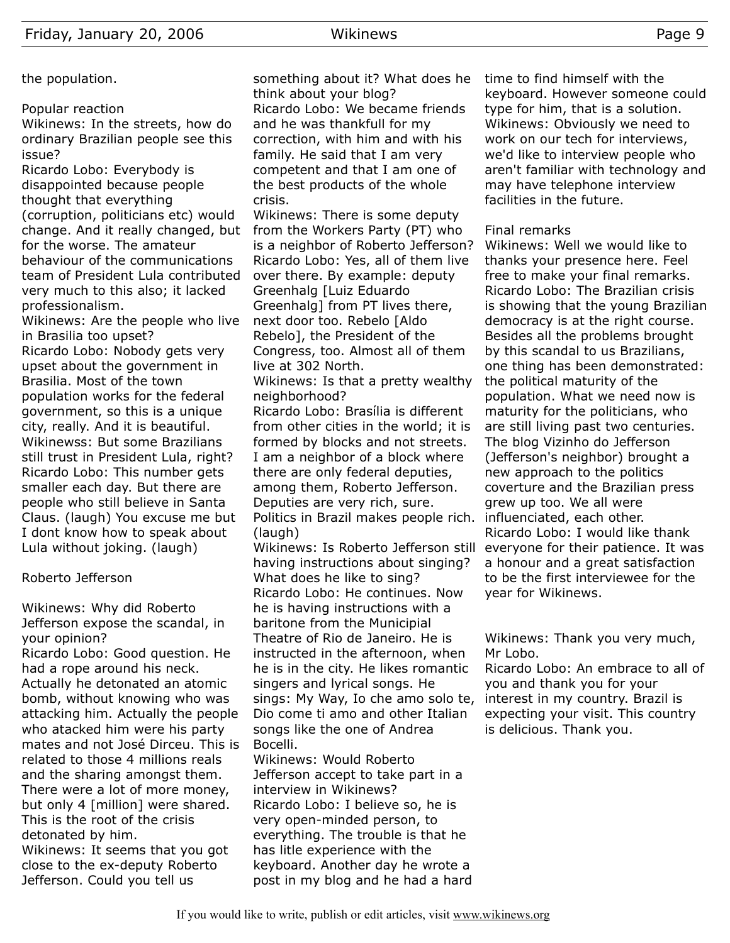Popular reaction

Wikinews: In the streets, how do ordinary Brazilian people see this issue?

Ricardo Lobo: Everybody is disappointed because people thought that everything (corruption, politicians etc) would change. And it really changed, but for the worse. The amateur behaviour of the communications team of President Lula contributed very much to this also; it lacked professionalism.

Wikinews: Are the people who live in Brasilia too upset? Ricardo Lobo: Nobody gets very upset about the government in Brasilia. Most of the town population works for the federal government, so this is a unique city, really. And it is beautiful. Wikinewss: But some Brazilians still trust in President Lula, right? Ricardo Lobo: This number gets smaller each day. But there are people who still believe in Santa Claus. (laugh) You excuse me but I dont know how to speak about Lula without joking. (laugh)

#### Roberto Jefferson

Wikinews: Why did Roberto Jefferson expose the scandal, in your opinion?

Ricardo Lobo: Good question. He had a rope around his neck. Actually he detonated an atomic bomb, without knowing who was attacking him. Actually the people who atacked him were his party mates and not José Dirceu. This is related to those 4 millions reals and the sharing amongst them. There were a lot of more money, but only 4 [million] were shared. This is the root of the crisis detonated by him. Wikinews: It seems that you got close to the ex-deputy Roberto Jefferson. Could you tell us

something about it? What does he think about your blog? Ricardo Lobo: We became friends and he was thankfull for my correction, with him and with his family. He said that I am very competent and that I am one of the best products of the whole crisis.

Wikinews: There is some deputy from the Workers Party (PT) who is a neighbor of Roberto Jefferson? Ricardo Lobo: Yes, all of them live over there. By example: deputy Greenhalg [Luiz Eduardo Greenhalg] from PT lives there, next door too. Rebelo [Aldo Rebelo], the President of the Congress, too. Almost all of them live at 302 North.

Wikinews: Is that a pretty wealthy neighborhood?

Ricardo Lobo: Brasília is different from other cities in the world; it is formed by blocks and not streets. I am a neighbor of a block where there are only federal deputies, among them, Roberto Jefferson. Deputies are very rich, sure. Politics in Brazil makes people rich. (laugh)

Wikinews: Is Roberto Jefferson still having instructions about singing? What does he like to sing? Ricardo Lobo: He continues. Now he is having instructions with a baritone from the Municipial Theatre of Rio de Janeiro. He is instructed in the afternoon, when he is in the city. He likes romantic singers and lyrical songs. He sings: My Way, Io che amo solo te, Dio come ti amo and other Italian songs like the one of Andrea Bocelli.

Wikinews: Would Roberto Jefferson accept to take part in a interview in Wikinews? Ricardo Lobo: I believe so, he is very open-minded person, to everything. The trouble is that he has litle experience with the keyboard. Another day he wrote a post in my blog and he had a hard time to find himself with the keyboard. However someone could type for him, that is a solution. Wikinews: Obviously we need to work on our tech for interviews, we'd like to interview people who aren't familiar with technology and may have telephone interview facilities in the future.

#### Final remarks

Wikinews: Well we would like to thanks your presence here. Feel free to make your final remarks. Ricardo Lobo: The Brazilian crisis is showing that the young Brazilian democracy is at the right course. Besides all the problems brought by this scandal to us Brazilians, one thing has been demonstrated: the political maturity of the population. What we need now is maturity for the politicians, who are still living past two centuries. The blog Vizinho do Jefferson (Jefferson's neighbor) brought a new approach to the politics coverture and the Brazilian press grew up too. We all were influenciated, each other. Ricardo Lobo: I would like thank everyone for their patience. It was a honour and a great satisfaction to be the first interviewee for the year for Wikinews.

Wikinews: Thank you very much, Mr Lobo.

Ricardo Lobo: An embrace to all of you and thank you for your interest in my country. Brazil is expecting your visit. This country is delicious. Thank you.